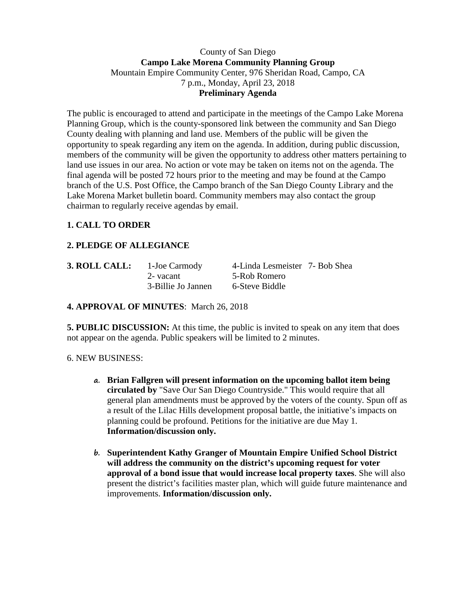## County of San Diego **Campo Lake Morena Community Planning Group** Mountain Empire Community Center, 976 Sheridan Road, Campo, CA 7 p.m., Monday, April 23, 2018 **Preliminary Agenda**

The public is encouraged to attend and participate in the meetings of the Campo Lake Morena Planning Group, which is the county-sponsored link between the community and San Diego County dealing with planning and land use. Members of the public will be given the opportunity to speak regarding any item on the agenda. In addition, during public discussion, members of the community will be given the opportunity to address other matters pertaining to land use issues in our area. No action or vote may be taken on items not on the agenda. The final agenda will be posted 72 hours prior to the meeting and may be found at the Campo branch of the U.S. Post Office, the Campo branch of the San Diego County Library and the Lake Morena Market bulletin board. Community members may also contact the group chairman to regularly receive agendas by email.

## **1. CALL TO ORDER**

# **2. PLEDGE OF ALLEGIANCE**

| 3. ROLL CALL: | 1-Joe Carmody      | 4-Linda Lesmeister 7- Bob Shea |  |
|---------------|--------------------|--------------------------------|--|
|               | 2- vacant          | 5-Rob Romero                   |  |
|               | 3-Billie Jo Jannen | 6-Steve Biddle                 |  |

## **4. APPROVAL OF MINUTES**: March 26, 2018

**5. PUBLIC DISCUSSION:** At this time, the public is invited to speak on any item that does not appear on the agenda. Public speakers will be limited to 2 minutes.

## 6. NEW BUSINESS:

- **a. Brian Fallgren will present information on the upcoming ballot item being circulated by** "Save Our San Diego Countryside." This would require that all general plan amendments must be approved by the voters of the county. Spun off as a result of the Lilac Hills development proposal battle, the initiative's impacts on planning could be profound. Petitions for the initiative are due May 1. **Information/discussion only.**
- **b. Superintendent Kathy Granger of Mountain Empire Unified School District will address the community on the district's upcoming request for voter approval of a bond issue that would increase local property taxes**. She will also present the district's facilities master plan, which will guide future maintenance and improvements. **Information/discussion only.**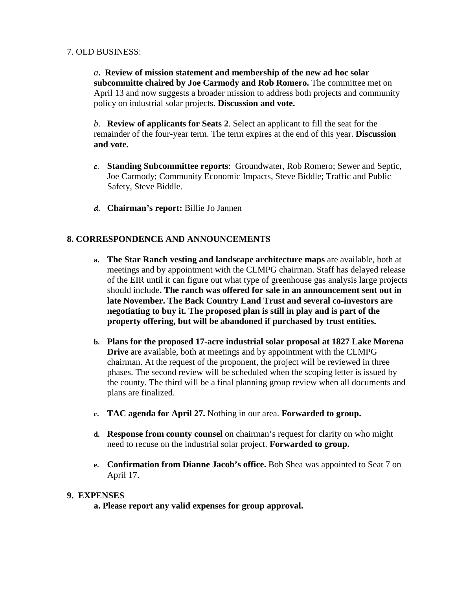#### 7. OLD BUSINESS:

*a***. Review of mission statement and membership of the new ad hoc solar subcommitte chaired by Joe Carmody and Rob Romero.** The committee met on April 13 and now suggests a broader mission to address both projects and community policy on industrial solar projects. **Discussion and vote.**

*b*. **Review of applicants for Seats 2**. Select an applicant to fill the seat for the remainder of the four-year term. The term expires at the end of this year. **Discussion and vote.**

- **c. Standing Subcommittee reports**: Groundwater, Rob Romero; Sewer and Septic, Joe Carmody; Community Economic Impacts, Steve Biddle; Traffic and Public Safety, Steve Biddle.
- **d. Chairman's report:** Billie Jo Jannen

## **8. CORRESPONDENCE AND ANNOUNCEMENTS**

- **a. The Star Ranch vesting and landscape architecture maps** are available, both at meetings and by appointment with the CLMPG chairman. Staff has delayed release of the EIR until it can figure out what type of greenhouse gas analysis large projects should include**. The ranch was offered for sale in an announcement sent out in late November. The Back Country Land Trust and several co-investors are negotiating to buy it. The proposed plan is still in play and is part of the property offering, but will be abandoned if purchased by trust entities.**
- **b. Plans for the proposed 17-acre industrial solar proposal at 1827 Lake Morena Drive** are available, both at meetings and by appointment with the CLMPG chairman. At the request of the proponent, the project will be reviewed in three phases. The second review will be scheduled when the scoping letter is issued by the county. The third will be a final planning group review when all documents and plans are finalized.
- **c. TAC agenda for April 27.** Nothing in our area. **Forwarded to group.**
- **d. Response from county counsel** on chairman's request for clarity on who might need to recuse on the industrial solar project. **Forwarded to group.**
- **e. Confirmation from Dianne Jacob's office.** Bob Shea was appointed to Seat 7 on April 17.

#### **9. EXPENSES**

**a. Please report any valid expenses for group approval.**